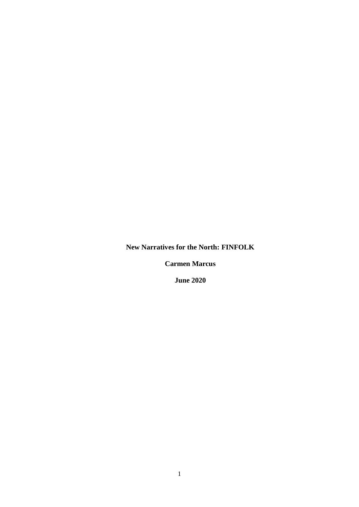**New Narratives for the North: FINFOLK**

**Carmen Marcus**

**June 2020**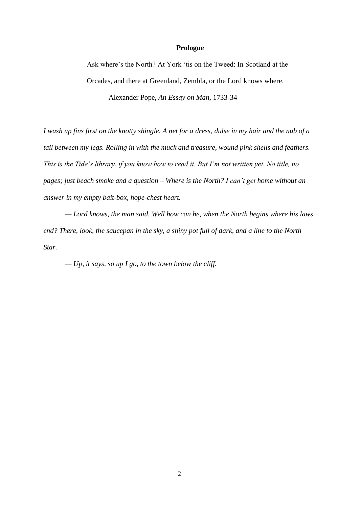### **Prologue**

Ask where's the North? At York 'tis on the Tweed: In Scotland at the Orcades, and there at Greenland, Zembla, or the Lord knows where. Alexander Pope, *An Essay on Man,* 1733-34

*I wash up fins first on the knotty shingle. A net for a dress, dulse in my hair and the nub of a tail between my legs. Rolling in with the muck and treasure, wound pink shells and feathers. This is the Tide's library, if you know how to read it. But I'm not written yet. No title, no pages; just beach smoke and a question – Where is the North? I can't get home without an answer in my empty bait-box, hope-chest heart.*

*— Lord knows, the man said. Well how can he, when the North begins where his laws end? There, look, the saucepan in the sky, a shiny pot full of dark, and a line to the North Star.* 

*— Up, it says, so up I go, to the town below the cliff.*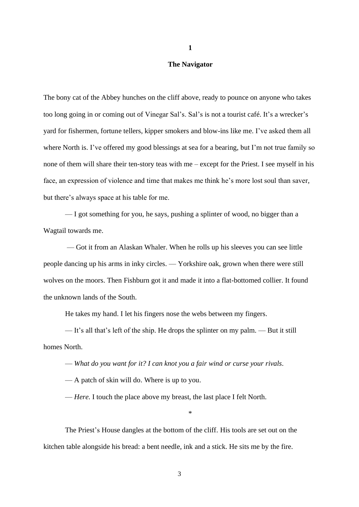#### **The Navigator**

The bony cat of the Abbey hunches on the cliff above, ready to pounce on anyone who takes too long going in or coming out of Vinegar Sal's. Sal's is not a tourist café. It's a wrecker's yard for fishermen, fortune tellers, kipper smokers and blow-ins like me. I've asked them all where North is. I've offered my good blessings at sea for a bearing, but I'm not true family so none of them will share their ten-story teas with me – except for the Priest. I see myself in his face, an expression of violence and time that makes me think he's more lost soul than saver, but there's always space at his table for me.

— I got something for you, he says, pushing a splinter of wood, no bigger than a Wagtail towards me.

— Got it from an Alaskan Whaler. When he rolls up his sleeves you can see little people dancing up his arms in inky circles. — Yorkshire oak, grown when there were still wolves on the moors. Then Fishburn got it and made it into a flat-bottomed collier. It found the unknown lands of the South.

He takes my hand. I let his fingers nose the webs between my fingers.

— It's all that's left of the ship. He drops the splinter on my palm. — But it still homes North.

— *What do you want for it? I can knot you a fair wind or curse your rivals.*

— A patch of skin will do. Where is up to you.

— *Here.* I touch the place above my breast, the last place I felt North.

\*

The Priest's House dangles at the bottom of the cliff. His tools are set out on the kitchen table alongside his bread: a bent needle, ink and a stick. He sits me by the fire.

**1**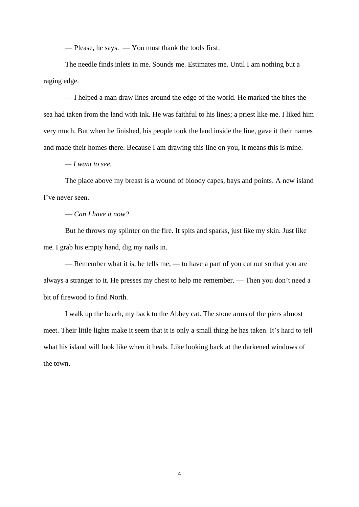— Please, he says. — You must thank the tools first.

The needle finds inlets in me. Sounds me. Estimates me. Until I am nothing but a raging edge.

— I helped a man draw lines around the edge of the world. He marked the bites the sea had taken from the land with ink. He was faithful to his lines; a priest like me. I liked him very much. But when he finished, his people took the land inside the line, gave it their names and made their homes there. Because I am drawing this line on you, it means this is mine.

*— I want to see.* 

The place above my breast is a wound of bloody capes, bays and points. A new island I've never seen.

# — *Can I have it now?*

But he throws my splinter on the fire. It spits and sparks, just like my skin. Just like me. I grab his empty hand, dig my nails in.

— Remember what it is, he tells me, — to have a part of you cut out so that you are always a stranger to it. He presses my chest to help me remember. — Then you don't need a bit of firewood to find North.

I walk up the beach, my back to the Abbey cat. The stone arms of the piers almost meet. Their little lights make it seem that it is only a small thing he has taken. It's hard to tell what his island will look like when it heals. Like looking back at the darkened windows of the town.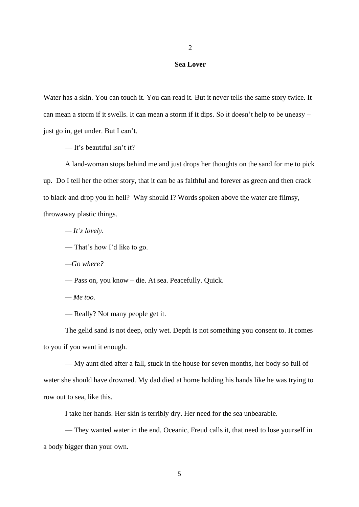#### **Sea Lover**

Water has a skin. You can touch it. You can read it. But it never tells the same story twice. It can mean a storm if it swells. It can mean a storm if it dips. So it doesn't help to be uneasy – just go in, get under. But I can't.

— It's beautiful isn't it?

A land-woman stops behind me and just drops her thoughts on the sand for me to pick up. Do I tell her the other story, that it can be as faithful and forever as green and then crack to black and drop you in hell? Why should I? Words spoken above the water are flimsy, throwaway plastic things.

*— It's lovely.*

— That's how I'd like to go.

*—Go where?*

— Pass on, you know – die. At sea. Peacefully. Quick.

*— Me too.*

— Really? Not many people get it.

The gelid sand is not deep, only wet. Depth is not something you consent to. It comes to you if you want it enough.

— My aunt died after a fall, stuck in the house for seven months, her body so full of water she should have drowned. My dad died at home holding his hands like he was trying to row out to sea, like this.

I take her hands. Her skin is terribly dry. Her need for the sea unbearable.

— They wanted water in the end. Oceanic, Freud calls it, that need to lose yourself in a body bigger than your own.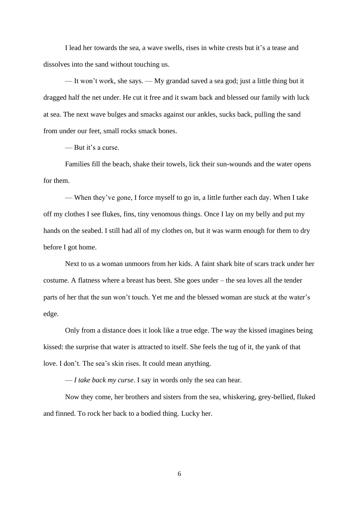I lead her towards the sea, a wave swells, rises in white crests but it's a tease and dissolves into the sand without touching us.

— It won't work, she says. — My grandad saved a sea god; just a little thing but it dragged half the net under. He cut it free and it swam back and blessed our family with luck at sea. The next wave bulges and smacks against our ankles, sucks back, pulling the sand from under our feet, small rocks smack bones.

— But it's a curse.

Families fill the beach, shake their towels, lick their sun-wounds and the water opens for them.

— When they've gone, I force myself to go in, a little further each day. When I take off my clothes I see flukes, fins, tiny venomous things. Once I lay on my belly and put my hands on the seabed. I still had all of my clothes on, but it was warm enough for them to dry before I got home.

Next to us a woman unmoors from her kids. A faint shark bite of scars track under her costume. A flatness where a breast has been. She goes under – the sea loves all the tender parts of her that the sun won't touch. Yet me and the blessed woman are stuck at the water's edge.

Only from a distance does it look like a true edge. The way the kissed imagines being kissed: the surprise that water is attracted to itself. She feels the tug of it, the yank of that love. I don't. The sea's skin rises. It could mean anything.

— *I take back my curse*. I say in words only the sea can hear.

Now they come, her brothers and sisters from the sea, whiskering, grey-bellied, fluked and finned. To rock her back to a bodied thing. Lucky her.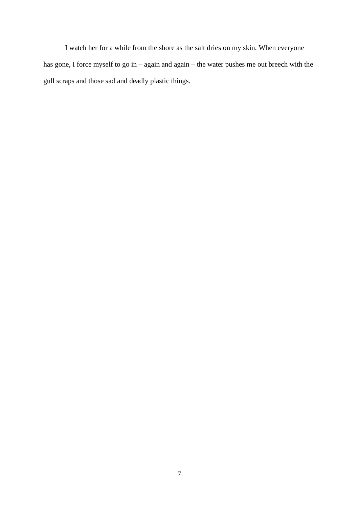I watch her for a while from the shore as the salt dries on my skin. When everyone has gone, I force myself to go in – again and again – the water pushes me out breech with the gull scraps and those sad and deadly plastic things.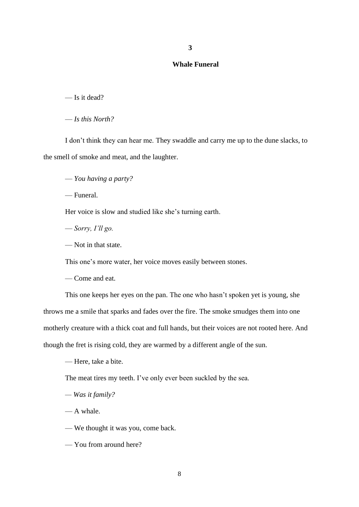## **Whale Funeral**

— Is it dead?

— *Is this North?*

I don't think they can hear me. They swaddle and carry me up to the dune slacks, to the smell of smoke and meat, and the laughter.

— *You having a party?*

— Funeral.

Her voice is slow and studied like she's turning earth.

— *Sorry, I'll go.*

— Not in that state.

This one's more water, her voice moves easily between stones.

— Come and eat.

This one keeps her eyes on the pan. The one who hasn't spoken yet is young, she throws me a smile that sparks and fades over the fire. The smoke smudges them into one motherly creature with a thick coat and full hands, but their voices are not rooted here. And though the fret is rising cold, they are warmed by a different angle of the sun.

— Here, take a bite.

The meat tires my teeth. I've only ever been suckled by the sea.

*— Was it family?*

— A whale.

— We thought it was you, come back.

— You from around here?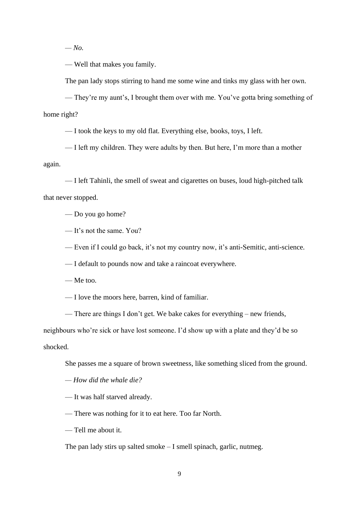*— No.* 

— Well that makes you family.

The pan lady stops stirring to hand me some wine and tinks my glass with her own.

— They're my aunt's, I brought them over with me. You've gotta bring something of home right?

— I took the keys to my old flat. Everything else, books, toys, I left.

— I left my children. They were adults by then. But here, I'm more than a mother again.

— I left Tahinli, the smell of sweat and cigarettes on buses, loud high-pitched talk that never stopped.

— Do you go home?

— It's not the same. You?

— Even if I could go back, it's not my country now, it's anti-Semitic, anti-science.

— I default to pounds now and take a raincoat everywhere.

— Me too.

— I love the moors here, barren, kind of familiar.

— There are things I don't get. We bake cakes for everything – new friends,

neighbours who're sick or have lost someone. I'd show up with a plate and they'd be so shocked.

She passes me a square of brown sweetness, like something sliced from the ground.

*— How did the whale die?*

— It was half starved already.

— There was nothing for it to eat here. Too far North.

— Tell me about it.

The pan lady stirs up salted smoke – I smell spinach, garlic, nutmeg.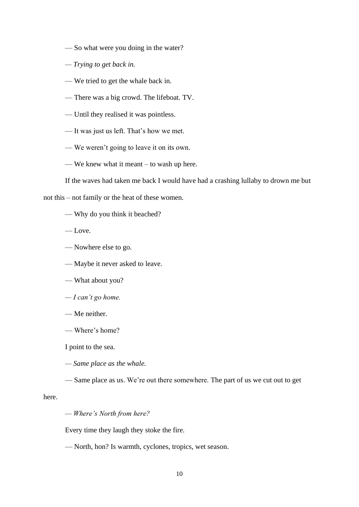- So what were you doing in the water?
- *— Trying to get back in.*
- We tried to get the whale back in.
- There was a big crowd. The lifeboat. TV.
- Until they realised it was pointless.
- It was just us left. That's how we met.
- We weren't going to leave it on its own.
- We knew what it meant to wash up here.

If the waves had taken me back I would have had a crashing lullaby to drown me but

not this – not family or the heat of these women.

- Why do you think it beached?
- Love.
- Nowhere else to go.
- Maybe it never asked to leave.
- What about you?
- *— I can't go home.*
- Me neither.
- Where's home?

I point to the sea.

*— Same place as the whale.*

— Same place as us. We're out there somewhere. The part of us we cut out to get

here.

*— Where's North from here?*

Every time they laugh they stoke the fire.

— North, hon? Is warmth, cyclones, tropics, wet season.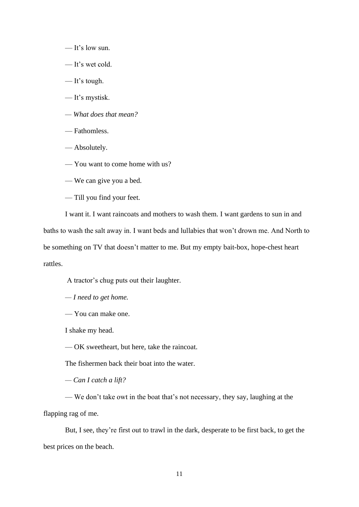- It's low sun.
- It's wet cold.
- It's tough.
- It's mystisk.
- *— What does that mean?*
- Fathomless.
- Absolutely.
- You want to come home with us?
- We can give you a bed.
- Till you find your feet.

I want it. I want raincoats and mothers to wash them. I want gardens to sun in and baths to wash the salt away in. I want beds and lullabies that won't drown me. And North to be something on TV that doesn't matter to me. But my empty bait-box, hope-chest heart rattles.

A tractor's chug puts out their laughter.

*— I need to get home.*

— You can make one.

I shake my head.

— OK sweetheart, but here, take the raincoat.

The fishermen back their boat into the water.

*— Can I catch a lift?*

— We don't take owt in the boat that's not necessary, they say, laughing at the flapping rag of me.

But, I see, they're first out to trawl in the dark, desperate to be first back, to get the best prices on the beach.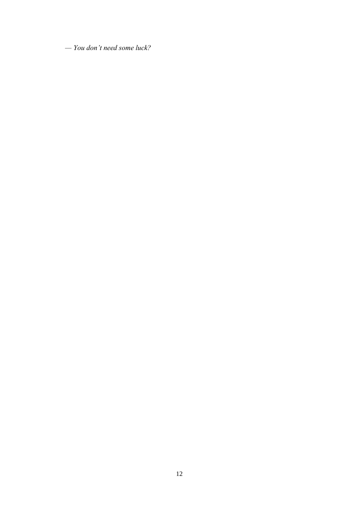*— You don't need some luck?*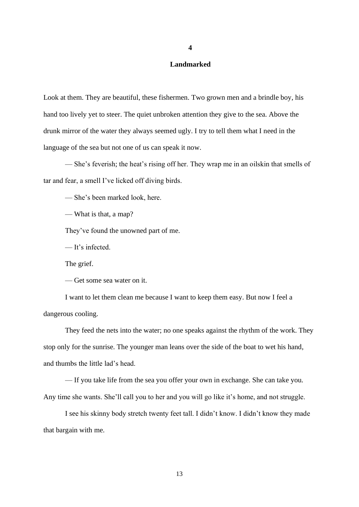## **Landmarked**

Look at them. They are beautiful, these fishermen. Two grown men and a brindle boy, his hand too lively yet to steer. The quiet unbroken attention they give to the sea. Above the drunk mirror of the water they always seemed ugly. I try to tell them what I need in the language of the sea but not one of us can speak it now.

— She's feverish; the heat's rising off her. They wrap me in an oilskin that smells of tar and fear, a smell I've licked off diving birds.

— She's been marked look, here.

— What is that, a map?

They've found the unowned part of me.

— It's infected.

The grief.

— Get some sea water on it.

I want to let them clean me because I want to keep them easy. But now I feel a dangerous cooling.

They feed the nets into the water; no one speaks against the rhythm of the work. They stop only for the sunrise. The younger man leans over the side of the boat to wet his hand, and thumbs the little lad's head.

— If you take life from the sea you offer your own in exchange. She can take you. Any time she wants. She'll call you to her and you will go like it's home, and not struggle.

I see his skinny body stretch twenty feet tall. I didn't know. I didn't know they made that bargain with me.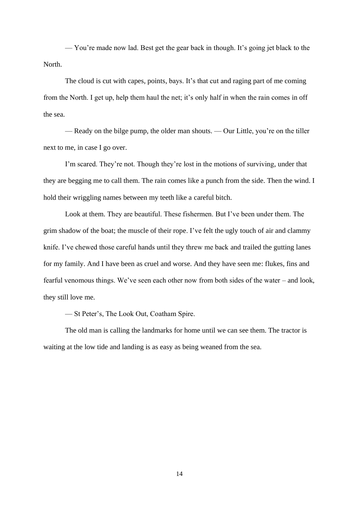— You're made now lad. Best get the gear back in though. It's going jet black to the North.

The cloud is cut with capes, points, bays. It's that cut and raging part of me coming from the North. I get up, help them haul the net; it's only half in when the rain comes in off the sea.

— Ready on the bilge pump, the older man shouts. — Our Little, you're on the tiller next to me, in case I go over.

I'm scared. They're not. Though they're lost in the motions of surviving, under that they are begging me to call them. The rain comes like a punch from the side. Then the wind. I hold their wriggling names between my teeth like a careful bitch.

Look at them. They are beautiful. These fishermen. But I've been under them. The grim shadow of the boat; the muscle of their rope. I've felt the ugly touch of air and clammy knife. I've chewed those careful hands until they threw me back and trailed the gutting lanes for my family. And I have been as cruel and worse. And they have seen me: flukes, fins and fearful venomous things. We've seen each other now from both sides of the water – and look, they still love me.

— St Peter's, The Look Out, Coatham Spire.

The old man is calling the landmarks for home until we can see them. The tractor is waiting at the low tide and landing is as easy as being weaned from the sea.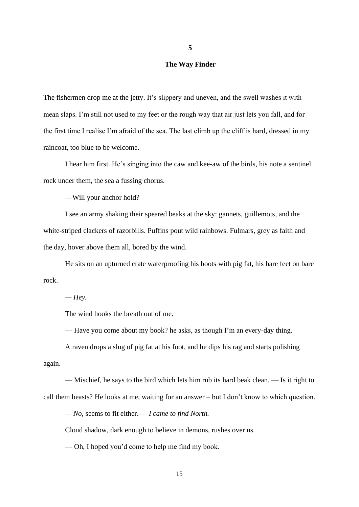## **The Way Finder**

The fishermen drop me at the jetty. It's slippery and uneven, and the swell washes it with mean slaps. I'm still not used to my feet or the rough way that air just lets you fall, and for the first time I realise I'm afraid of the sea. The last climb up the cliff is hard, dressed in my raincoat, too blue to be welcome.

I hear him first. He's singing into the caw and kee-aw of the birds, his note a sentinel rock under them, the sea a fussing chorus.

—Will your anchor hold?

I see an army shaking their speared beaks at the sky: gannets, guillemots, and the white-striped clackers of razorbills. Puffins pout wild rainbows. Fulmars, grey as faith and the day, hover above them all, bored by the wind.

He sits on an upturned crate waterproofing his boots with pig fat, his bare feet on bare rock.

*— Hey.*

The wind hooks the breath out of me.

— Have you come about my book? he asks, as though I'm an every-day thing.

A raven drops a slug of pig fat at his foot, and he dips his rag and starts polishing again.

— Mischief, he says to the bird which lets him rub its hard beak clean. — Is it right to call them beasts? He looks at me, waiting for an answer – but I don't know to which question.

*— No*, seems to fit either. *— I came to find North.*

Cloud shadow, dark enough to believe in demons, rushes over us.

— Oh, I hoped you'd come to help me find my book.